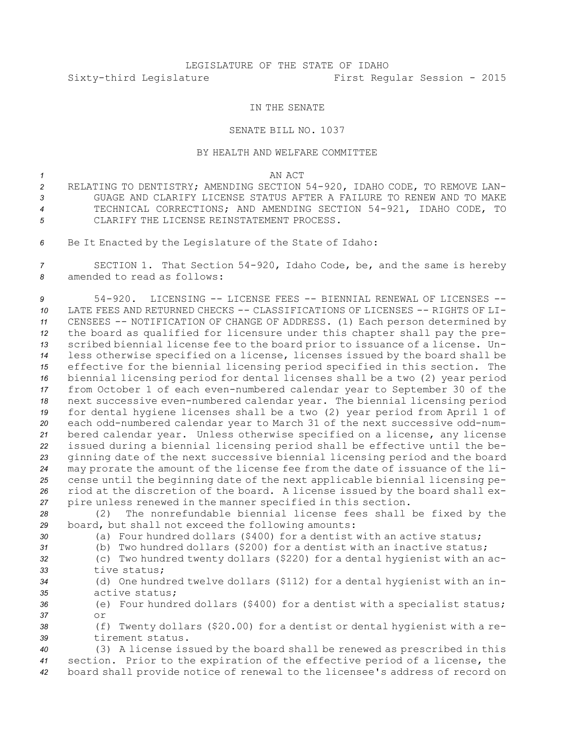# LEGISLATURE OF THE STATE OF IDAHO Sixty-third Legislature First Regular Session - 2015

## IN THE SENATE

## SENATE BILL NO. 1037

#### BY HEALTH AND WELFARE COMMITTEE

#### *1* AN ACT

- *<sup>2</sup>* RELATING TO DENTISTRY; AMENDING SECTION 54-920, IDAHO CODE, TO REMOVE LAN-*3* GUAGE AND CLARIFY LICENSE STATUS AFTER A FAILURE TO RENEW AND TO MAKE *<sup>4</sup>* TECHNICAL CORRECTIONS; AND AMENDING SECTION 54-921, IDAHO CODE, TO *5* CLARIFY THE LICENSE REINSTATEMENT PROCESS.
- *<sup>6</sup>* Be It Enacted by the Legislature of the State of Idaho:

*<sup>7</sup>* SECTION 1. That Section 54-920, Idaho Code, be, and the same is hereby *8* amended to read as follows:

 54-920. LICENSING -- LICENSE FEES -- BIENNIAL RENEWAL OF LICENSES -- LATE FEES AND RETURNED CHECKS -- CLASSIFICATIONS OF LICENSES -- RIGHTS OF LI- CENSEES -- NOTIFICATION OF CHANGE OF ADDRESS. (1) Each person determined by the board as qualified for licensure under this chapter shall pay the pre- scribed biennial license fee to the board prior to issuance of <sup>a</sup> license. Un- less otherwise specified on <sup>a</sup> license, licenses issued by the board shall be effective for the biennial licensing period specified in this section. The biennial licensing period for dental licenses shall be <sup>a</sup> two (2) year period from October 1 of each even-numbered calendar year to September 30 of the next successive even-numbered calendar year. The biennial licensing period for dental hygiene licenses shall be <sup>a</sup> two (2) year period from April 1 of each odd-numbered calendar year to March 31 of the next successive odd-num- bered calendar year. Unless otherwise specified on <sup>a</sup> license, any license issued during <sup>a</sup> biennial licensing period shall be effective until the be- ginning date of the next successive biennial licensing period and the board may prorate the amount of the license fee from the date of issuance of the li- cense until the beginning date of the next applicable biennial licensing pe- riod at the discretion of the board. <sup>A</sup> license issued by the board shall ex-pire unless renewed in the manner specified in this section.

*<sup>28</sup>* (2) The nonrefundable biennial license fees shall be fixed by the *<sup>29</sup>* board, but shall not exceed the following amounts:

- *<sup>30</sup>* (a) Four hundred dollars (\$400) for <sup>a</sup> dentist with an active status;
- 
- 
- *<sup>31</sup>* (b) Two hundred dollars (\$200) for <sup>a</sup> dentist with an inactive status;
- *<sup>32</sup>* (c) Two hundred twenty dollars (\$220) for <sup>a</sup> dental hygienist with an ac-*33* tive status;
- *<sup>34</sup>* (d) One hundred twelve dollars (\$112) for <sup>a</sup> dental hygienist with an in-*35* active status;

*<sup>36</sup>* (e) Four hundred dollars (\$400) for <sup>a</sup> dentist with <sup>a</sup> specialist status; *37* or

*<sup>38</sup>* (f) Twenty dollars (\$20.00) for <sup>a</sup> dentist or dental hygienist with <sup>a</sup> re-*39* tirement status.

*<sup>40</sup>* (3) <sup>A</sup> license issued by the board shall be renewed as prescribed in this *<sup>41</sup>* section. Prior to the expiration of the effective period of <sup>a</sup> license, the *<sup>42</sup>* board shall provide notice of renewal to the licensee's address of record on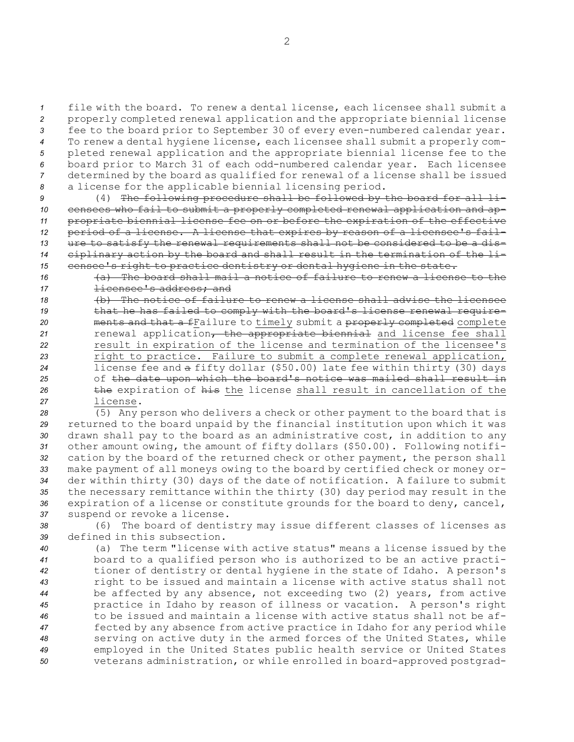file with the board. To renew <sup>a</sup> dental license, each licensee shall submit <sup>a</sup> properly completed renewal application and the appropriate biennial license fee to the board prior to September 30 of every even-numbered calendar year. To renew <sup>a</sup> dental hygiene license, each licensee shall submit <sup>a</sup> properly com- pleted renewal application and the appropriate biennial license fee to the board prior to March 31 of each odd-numbered calendar year. Each licensee determined by the board as qualified for renewal of <sup>a</sup> license shall be issued <sup>a</sup> license for the applicable biennial licensing period.

 (4) The following procedure shall be followed by the board for all li- censees who fail to submit <sup>a</sup> properly completed renewal application and ap- propriate biennial license fee on or before the expiration of the effective period of <sup>a</sup> license. <sup>A</sup> license that expires by reason of <sup>a</sup> licensee's fail- ure to satisfy the renewal requirements shall not be considered to be <sup>a</sup> dis- ciplinary action by the board and shall result in the termination of the li-15 censee's right to practice dentistry or dental hygiene in the state.

*16* (a) The board shall mail <sup>a</sup> notice of failure to renew <sup>a</sup> license to the 17 **licensee's address; and** 

 (b) The notice of failure to renew <sup>a</sup> license shall advise the licensee 19 that he has failed to comply with the board's license renewal require- ments and that <sup>a</sup> fFailure to timely submit <sup>a</sup> properly completed complete renewal application, the appropriate biennial and license fee shall result in expiration of the license and termination of the licensee's right to practice. Failure to submit <sup>a</sup> complete renewal application, license fee and <sup>a</sup> fifty dollar (\$50.00) late fee within thirty (30) days of the date upon which the board's notice was mailed shall result in **the expiration of his the license shall result in cancellation of the** *27* license.

 (5) Any person who delivers <sup>a</sup> check or other payment to the board that is returned to the board unpaid by the financial institution upon which it was drawn shall pay to the board as an administrative cost, in addition to any other amount owing, the amount of fifty dollars (\$50.00). Following notifi- cation by the board of the returned check or other payment, the person shall make payment of all moneys owing to the board by certified check or money or- der within thirty (30) days of the date of notification. <sup>A</sup> failure to submit the necessary remittance within the thirty (30) day period may result in the expiration of <sup>a</sup> license or constitute grounds for the board to deny, cancel, suspend or revoke <sup>a</sup> license.

*<sup>38</sup>* (6) The board of dentistry may issue different classes of licenses as *39* defined in this subsection.

 (a) The term "license with active status" means <sup>a</sup> license issued by the board to <sup>a</sup> qualified person who is authorized to be an active practi- tioner of dentistry or dental hygiene in the state of Idaho. <sup>A</sup> person's right to be issued and maintain <sup>a</sup> license with active status shall not be affected by any absence, not exceeding two (2) years, from active practice in Idaho by reason of illness or vacation. <sup>A</sup> person's right to be issued and maintain <sup>a</sup> license with active status shall not be af- fected by any absence from active practice in Idaho for any period while serving on active duty in the armed forces of the United States, while employed in the United States public health service or United States veterans administration, or while enrolled in board-approved postgrad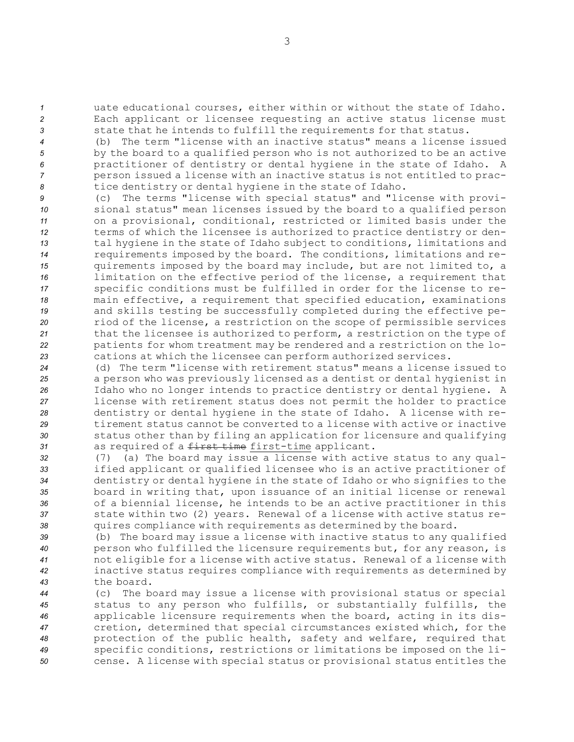*<sup>1</sup>* uate educational courses, either within or without the state of Idaho. *<sup>2</sup>* Each applicant or licensee requesting an active status license must *<sup>3</sup>* state that he intends to fulfill the requirements for that status.

 (b) The term "license with an inactive status" means <sup>a</sup> license issued by the board to <sup>a</sup> qualified person who is not authorized to be an active practitioner of dentistry or dental hygiene in the state of Idaho. <sup>A</sup> person issued <sup>a</sup> license with an inactive status is not entitled to prac-tice dentistry or dental hygiene in the state of Idaho.

 (c) The terms "license with special status" and "license with provi- sional status" mean licenses issued by the board to <sup>a</sup> qualified person on <sup>a</sup> provisional, conditional, restricted or limited basis under the terms of which the licensee is authorized to practice dentistry or den- tal hygiene in the state of Idaho subject to conditions, limitations and requirements imposed by the board. The conditions, limitations and re- quirements imposed by the board may include, but are not limited to, <sup>a</sup> limitation on the effective period of the license, <sup>a</sup> requirement that specific conditions must be fulfilled in order for the license to re- main effective, <sup>a</sup> requirement that specified education, examinations and skills testing be successfully completed during the effective pe- riod of the license, <sup>a</sup> restriction on the scope of permissible services that the licensee is authorized to perform, <sup>a</sup> restriction on the type of patients for whom treatment may be rendered and <sup>a</sup> restriction on the lo-cations at which the licensee can perform authorized services.

 (d) The term "license with retirement status" means <sup>a</sup> license issued to <sup>a</sup> person who was previously licensed as <sup>a</sup> dentist or dental hygienist in Idaho who no longer intends to practice dentistry or dental hygiene. <sup>A</sup> license with retirement status does not permit the holder to practice dentistry or dental hygiene in the state of Idaho. <sup>A</sup> license with re- tirement status cannot be converted to <sup>a</sup> license with active or inactive status other than by filing an application for licensure and qualifying as required of <sup>a</sup> first time first-time applicant.

 (7) (a) The board may issue <sup>a</sup> license with active status to any qual- ified applicant or qualified licensee who is an active practitioner of dentistry or dental hygiene in the state of Idaho or who signifies to the board in writing that, upon issuance of an initial license or renewal of <sup>a</sup> biennial license, he intends to be an active practitioner in this state within two (2) years. Renewal of <sup>a</sup> license with active status re-quires compliance with requirements as determined by the board.

 (b) The board may issue <sup>a</sup> license with inactive status to any qualified person who fulfilled the licensure requirements but, for any reason, is not eligible for <sup>a</sup> license with active status. Renewal of <sup>a</sup> license with inactive status requires compliance with requirements as determined by the board.

 (c) The board may issue <sup>a</sup> license with provisional status or special status to any person who fulfills, or substantially fulfills, the applicable licensure requirements when the board, acting in its dis- cretion, determined that special circumstances existed which, for the protection of the public health, safety and welfare, required that specific conditions, restrictions or limitations be imposed on the li-cense. <sup>A</sup> license with special status or provisional status entitles the